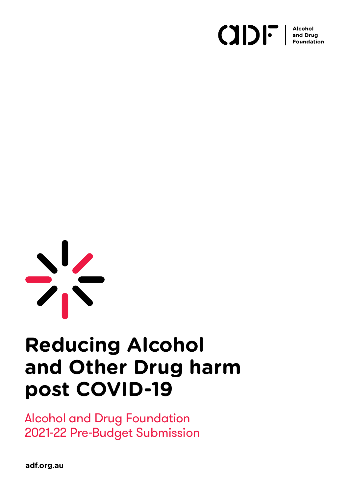



## **Reducing Alcohol and Other Drug harm post COVID-19**

Alcohol and Drug Foundation 2021-22 Pre-Budget Submission

**[adf.org.au](http://adf.org.au)**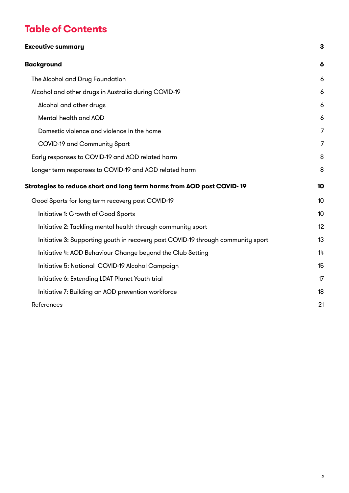## **Table of Contents**

| <b>Executive summary</b>                                                         | 3              |
|----------------------------------------------------------------------------------|----------------|
| <b>Background</b>                                                                | 6              |
| The Alcohol and Drug Foundation                                                  | 6              |
| Alcohol and other drugs in Australia during COVID-19                             | 6              |
| Alcohol and other drugs                                                          | 6              |
| Mental health and AOD                                                            | 6              |
| Domestic violence and violence in the home                                       | $\overline{7}$ |
| <b>COVID-19 and Community Sport</b>                                              | 7              |
| Early responses to COVID-19 and AOD related harm                                 | 8              |
| Longer term responses to COVID-19 and AOD related harm                           | 8              |
| Strategies to reduce short and long term harms from AOD post COVID-19            | 10             |
| Good Sports for long term recovery post COVID-19                                 | 10             |
| Initiative 1: Growth of Good Sports                                              | 10             |
| Initiative 2: Tackling mental health through community sport                     | 12             |
| Initiative 3: Supporting youth in recovery post COVID-19 through community sport | 13             |
| Initiative 4: AOD Behaviour Change beyond the Club Setting                       | 14             |
| Initiative 5: National COVID-19 Alcohol Campaign                                 | 15             |
| Initiative 6: Extending LDAT Planet Youth trial                                  | 17             |
| Initiative 7: Building an AOD prevention workforce                               | 18             |
| References                                                                       | 21             |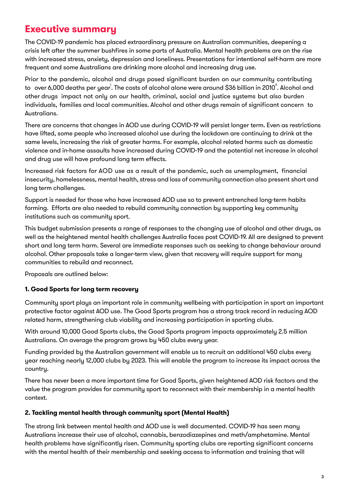## <span id="page-2-0"></span>**Executive summary**

The COVID-19 pandemic has placed extraordinary pressure on Australian communities, deepening a crisis left after the summer bushfires in some parts of Australia. Mental health problems are on the rise with increased stress, anxiety, depression and loneliness. Presentations for intentional self-harm are more frequent and some Australians are drinking more alcohol and increasing drug use.

Prior to the pandemic, alcohol and drugs posed significant burden on our community contributing to  $\,$  over 6,000 deaths per year $^{\rm i}$ . The costs of alcohol alone were around \$36 billion in 2010 $^{\rm ii}$ . Alcohol and other drugs impact not only on our health, criminal, social and justice systems but also burden individuals, families and local communities. Alcohol and other drugs remain of significant concern to Australians.

There are concerns that changes in AOD use during COVID-19 will persist longer term. Even as restrictions have lifted, some people who increased alcohol use during the lockdown are continuing to drink at the same levels, increasing the risk of greater harms. For example, alcohol related harms such as domestic violence and in-home assaults have increased during COVID-19 and the potential net increase in alcohol and drug use will have profound long term effects.

Increased risk factors for AOD use as a result of the pandemic, such as unemployment, financial insecurity, homelessness, mental health, stress and loss of community connection also present short and long term challenges.

Support is needed for those who have increased AOD use so to prevent entrenched long-term habits forming. Efforts are also needed to rebuild community connection by supporting key community institutions such as community sport.

This budget submission presents a range of responses to the changing use of alcohol and other drugs, as well as the heightened mental health challenges Australia faces post COVID-19. All are designed to prevent short and long term harm. Several are immediate responses such as seeking to change behaviour around alcohol. Other proposals take a longer-term view, given that recovery will require support for many communities to rebuild and reconnect.

Proposals are outlined below:

#### **1. Good Sports for long term recovery**

Community sport plays an important role in community wellbeing with participation in sport an important protective factor against AOD use. The Good Sports program has a strong track record in reducing AOD related harm, strengthening club viability and increasing participation in sporting clubs.

With around 10,000 Good Sports clubs, the Good Sports program impacts approximately 2.5 million Australians. On average the program grows by 450 clubs every year.

Funding provided by the Australian government will enable us to recruit an additional 450 clubs every year reaching nearly 12,000 clubs by 2023. This will enable the program to increase its impact across the country.

There has never been a more important time for Good Sports, given heightened AOD risk factors and the value the program provides for community sport to reconnect with their membership in a mental health context.

#### **2. Tackling mental health through community sport (Mental Health)**

The strong link between mental health and AOD use is well documented. COVID-19 has seen many Australians increase their use of alcohol, cannabis, benzodiazepines and meth/amphetamine. Mental health problems have significantly risen. Community sporting clubs are reporting significant concerns with the mental health of their membership and seeking access to information and training that will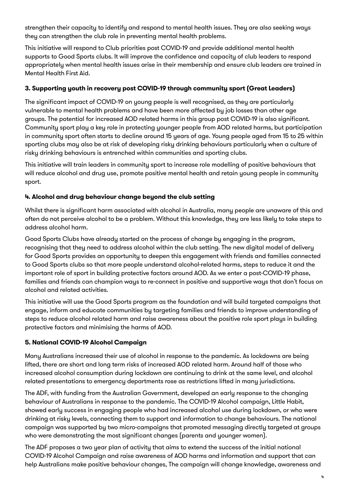strengthen their capacity to identify and respond to mental health issues. They are also seeking ways they can strengthen the club role in preventing mental health problems.

This initiative will respond to Club priorities post COVID-19 and provide additional mental health supports to Good Sports clubs. It will improve the confidence and capacity of club leaders to respond appropriately when mental health issues arise in their membership and ensure club leaders are trained in Mental Health First Aid.

#### **3. Supporting youth in recovery post COVID-19 through community sport (Great Leaders)**

The significant impact of COVID-19 on young people is well recognised, as they are particularly vulnerable to mental health problems and have been more affected by job losses than other age groups. The potential for increased AOD related harms in this group post COVID-19 is also significant. Community sport play a key role in protecting younger people from AOD related harms, but participation in community sport often starts to decline around 15 years of age. Young people aged from 15 to 25 within sporting clubs may also be at risk of developing risky drinking behaviours particularly when a culture of risky drinking behaviours is entrenched within communities and sporting clubs.

This initiative will train leaders in community sport to increase role modelling of positive behaviours that will reduce alcohol and drug use, promote positive mental health and retain young people in community sport.

#### **4. Alcohol and drug behaviour change beyond the club setting**

Whilst there is significant harm associated with alcohol in Australia, many people are unaware of this and often do not perceive alcohol to be a problem. Without this knowledge, they are less likely to take steps to address alcohol harm.

Good Sports Clubs have already started on the process of change by engaging in the program, recognising that they need to address alcohol within the club setting. The new digital model of delivery for Good Sports provides an opportunity to deepen this engagement with friends and families connected to Good Sports clubs so that more people understand alcohol-related harms, steps to reduce it and the important role of sport in building protective factors around AOD. As we enter a post-COVID-19 phase, families and friends can champion ways to re-connect in positive and supportive ways that don't focus on alcohol and related activities.

This initiative will use the Good Sports program as the foundation and will build targeted campaigns that engage, inform and educate communities by targeting families and friends to improve understanding of steps to reduce alcohol related harm and raise awareness about the positive role sport plays in building protective factors and minimising the harms of AOD.

#### **5. National COVID-19 Alcohol Campaign**

Many Australians increased their use of alcohol in response to the pandemic. As lockdowns are being lifted, there are short and long term risks of increased AOD related harm. Around half of those who increased alcohol consumption during lockdown are continuing to drink at the same level, and alcohol related presentations to emergency departments rose as restrictions lifted in many jurisdictions.

The ADF, with funding from the Australian Government, developed an early response to the changing behaviour of Australians in response to the pandemic. The COVID-19 Alcohol campaign, Little Habit, showed early success in engaging people who had increased alcohol use during lockdown, or who were drinking at risky levels, connecting them to support and information to change behaviours. The national campaign was supported by two micro-campaigns that promoted messaging directly targeted at groups who were demonstrating the most significant changes (parents and younger women).

The ADF proposes a two year plan of activity that aims to extend the success of the initial national COVID-19 Alcohol Campaign and raise awareness of AOD harms and information and support that can help Australians make positive behaviour changes, The campaign will change knowledge, awareness and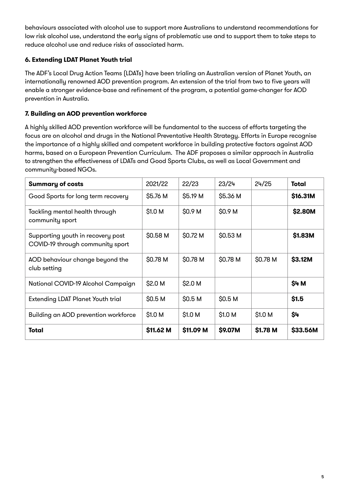behaviours associated with alcohol use to support more Australians to understand recommendations for low risk alcohol use, understand the early signs of problematic use and to support them to take steps to reduce alcohol use and reduce risks of associated harm.

#### **6. Extending LDAT Planet Youth trial**

The ADF's Local Drug Action Teams (LDATs) have been trialing an Australian version of Planet Youth, an internationally renowned AOD prevention program. An extension of the trial from two to five years will enable a stronger evidence-base and refinement of the program, a potential game-changer for AOD prevention in Australia.

#### **7. Building an AOD prevention workforce**

A highly skilled AOD prevention workforce will be fundamental to the success of efforts targeting the focus are on alcohol and drugs in the National Preventative Health Strategy. Efforts in Europe recognise the importance of a highly skilled and competent workforce in building protective factors against AOD harms, based on a European Prevention Curriculum. The ADF proposes a similar approach in Australia to strengthen the effectiveness of LDATs and Good Sports Clubs, as well as Local Government and community-based NGOs.

| <b>Summary of costs</b>                                               | 2021/22             | 22/23     | 23/24    | 24/25    | Total        |
|-----------------------------------------------------------------------|---------------------|-----------|----------|----------|--------------|
| Good Sports for long term recovery                                    | \$5.76 M            | \$5.19 M  | \$5.36 M |          | \$16.31M     |
| Tackling mental health through<br>community sport                     | \$1.0 M             | \$0.9 M   | \$0.9 M  |          | \$2.80M      |
| Supporting youth in recovery post<br>COVID-19 through community sport | \$0.58 <sub>M</sub> | \$0.72 M  | \$0.53 M |          | \$1.83M      |
| AOD behaviour change beyond the<br>club setting                       | \$0.78 M            | \$0.78 M  | \$0.78 M | \$0.78 M | \$3.12M      |
| National COVID-19 Alcohol Campaign                                    | \$2.0 M             | \$2.0 M   |          |          | <b>\$4 M</b> |
| <b>Extending LDAT Planet Youth trial</b>                              | \$0.5 M             | \$0.5 M   | \$0.5 M  |          | \$1.5        |
| Building an AOD prevention workforce                                  | \$1.0 M             | \$1.0 M   | \$1.0 M  | \$1.0 M  | \$4          |
| Total                                                                 | \$11.62 M           | \$11.09 M | \$9.07M  | \$1.78 M | \$33.56M     |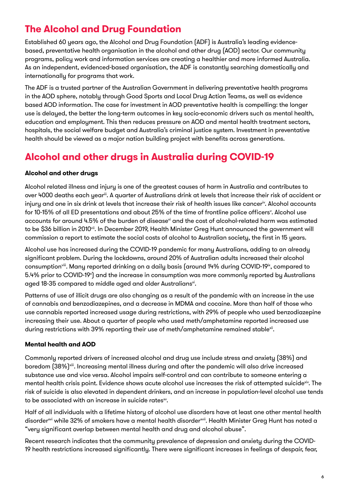## <span id="page-5-0"></span>**The Alcohol and Drug Foundation**

Established 60 years ago, the Alcohol and Drug Foundation (ADF) is Australia's leading evidencebased, preventative health organisation in the alcohol and other drug (AOD) sector. Our community programs, policy work and information services are creating a healthier and more informed Australia. As an independent, evidenced-based organisation, the ADF is constantly searching domestically and internationally for programs that work.

The ADF is a trusted partner of the Australian Government in delivering preventative health programs in the AOD sphere, notably through Good Sports and Local Drug Action Teams, as well as evidence based AOD information. The case for investment in AOD preventative health is compelling: the longer use is delayed, the better the long-term outcomes in key socio-economic drivers such as mental health, education and employment. This then reduces pressure on AOD and mental health treatment sectors, hospitals, the social welfare budget and Australia's criminal justice system. Investment in preventative health should be viewed as a major nation building project with benefits across generations.

## **Alcohol and other drugs in Australia during COVID-19**

#### **Alcohol and other drugs**

Alcohol related illness and injury is one of the greatest causes of harm in Australia and contributes to over 4000 deaths each yearii. A quarter of Australians drink at levels that increase their risk of accident or injury and one in six drink at levels that increase their risk of health issues like cancer<sup>iv</sup>. Alcohol accounts for 10-15% of all ED presentations and about 25% of the time of frontline police officers<sup>v</sup>. Alcohol use accounts for around 4.5% of the burden of disease<sup>vi</sup> and the cost of alcohol-related harm was estimated to be \$36 billion in 2010<sup>vii</sup>. In December 2019, Health Minister Greg Hunt announced the government will commission a report to estimate the social costs of alcohol to Australian society, the first in 15 years.

Alcohol use has increased during the COVID-19 pandemic for many Australians, adding to an already significant problem. During the lockdowns, around 20% of Australian adults increased their alcohol consumption<sup>viii</sup>. Many reported drinking on a daily basis (around 14% during COVID-19<sup>ix</sup>, compared to 5.4% prior to COVID-19×) and the increase in consumption was more commonly reported by Australians aged 18-35 compared to middle aged and older Australians<sup>xi</sup>.

Patterns of use of illicit drugs are also changing as a result of the pandemic with an increase in the use of cannabis and benzodiazepines, and a decrease in MDMA and cocaine. More than half of those who use cannabis reported increased usage during restrictions, with 29% of people who used benzodiazepine increasing their use. About a quarter of people who used meth/amphetamine reported increased use during restrictions with 39% reporting their use of meth/amphetamine remained stable<sup>xii</sup>.

#### **Mental health and AOD**

Commonly reported drivers of increased alcohol and drug use include stress and anxiety (38%) and boredom (38%)<sup>xiii</sup>. Increasing mental illness during and after the pandemic will also drive increased substance use and vice versa. Alcohol impairs self-control and can contribute to someone entering a mental health crisis point. Evidence shows acute alcohol use increases the risk of attempted suicidexiv. The risk of suicide is also elevated in dependent drinkers, and an increase in population-level alcohol use tends to be associated with an increase in suicide rates<sup>xy</sup>.

Half of all individuals with a lifetime history of alcohol use disorders have at least one other mental health disorder<sup>xvi</sup> while 32% of smokers have a mental health disorder<sup>xvii</sup>. Health Minister Greg Hunt has noted a "very significant overlap between mental health and drug and alcohol abuse".

Recent research indicates that the community prevalence of depression and anxiety during the COVID-19 health restrictions increased significantly. There were significant increases in feelings of despair, fear,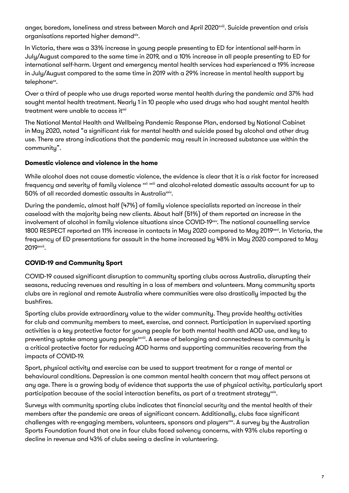<span id="page-6-0"></span>anger, boredom, loneliness and stress between March and April 2020xviii. Suicide prevention and crisis organisations reported higher demandxix.

In Victoria, there was a 33% increase in young people presenting to ED for intentional self-harm in July/August compared to the same time in 2019, and a 10% increase in all people presenting to ED for international self-harm. Urgent and emergency mental health services had experienced a 19% increase in July/August compared to the same time in 2019 with a 29% increase in mental health support by telephone<sup>xx</sup>.

Over a third of people who use drugs reported worse mental health during the pandemic and 37% had sought mental health treatment. Nearly 1 in 10 people who used drugs who had sought mental health treatment were unable to access itxxi

The National Mental Health and Wellbeing Pandemic Response Plan, endorsed by National Cabinet in May 2020, noted "a significant risk for mental health and suicide posed by alcohol and other drug use. There are strong indications that the pandemic may result in increased substance use within the community".

#### **Domestic violence and violence in the home**

While alcohol does not cause domestic violence, the evidence is clear that it is a risk factor for increased frequency and severity of family violence xxiii xxiii and alcohol-related domestic assaults account for up to 50% of all recorded domestic assaults in Australiaxxiv.

During the pandemic, almost half (47%) of family violence specialists reported an increase in their caseload with the majority being new clients. About half (51%) of them reported an increase in the involvement of alcohol in family violence situations since COVID-19<sup>xx</sup>. The national counselling service 1800 RESPECT reported an 11% increase in contacts in May 2020 compared to May 2019<sup>xxvi</sup>. In Victoria, the frequency of ED presentations for assault in the home increased by 48% in May 2020 compared to May 2019**xxvii**.

#### **COVID-19 and Community Sport**

COVID-19 caused significant disruption to community sporting clubs across Australia, disrupting their seasons, reducing revenues and resulting in a loss of members and volunteers. Many community sports clubs are in regional and remote Australia where communities were also drastically impacted by the bushfires.

Sporting clubs provide extraordinary value to the wider community. They provide healthy activities for club and community members to meet, exercise, and connect. Participation in supervised sporting activities is a key protective factor for young people for both mental health and AOD use, and key to preventing uptake among young people<sup>xxviii</sup>. A sense of belonging and connectedness to community is a critical protective factor for reducing AOD harms and supporting communities recovering from the impacts of COVID-19.

Sport, physical activity and exercise can be used to support treatment for a range of mental or behavioural conditions. Depression is one common mental health concern that may affect persons at any age. There is a growing body of evidence that supports the use of physical activity, particularly sport participation because of the social interaction benefits, as part of a treatment strategyxxix.

Surveys with community sporting clubs indicates that financial security and the mental health of their members after the pandemic are areas of significant concern. Additionally, clubs face significant challenges with re-engaging members, volunteers, sponsors and players<sup>xx</sup>. A survey by the Australian Sports Foundation found that one in four clubs faced solvency concerns, with 93% clubs reporting a decline in revenue and 43% of clubs seeing a decline in volunteering.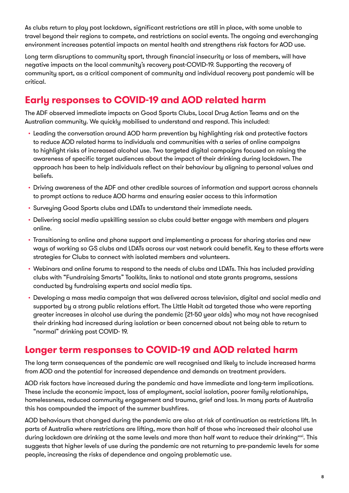<span id="page-7-0"></span>As clubs return to play post lockdown, significant restrictions are still in place, with some unable to travel beyond their regions to compete, and restrictions on social events. The ongoing and everchanging environment increases potential impacts on mental health and strengthens risk factors for AOD use.

Long term disruptions to community sport, through financial insecurity or loss of members, will have negative impacts on the local community's recovery post-COVID-19. Supporting the recovery of community sport, as a critical component of community and individual recovery post pandemic will be critical.

## **Early responses to COVID-19 and AOD related harm**

The ADF observed immediate impacts on Good Sports Clubs, Local Drug Action Teams and on the Australian community. We quickly mobilised to understand and respond. This included:

- Leading the conversation around AOD harm prevention by highlighting risk and protective factors to reduce AOD related harms to individuals and communities with a series of online campaigns to highlight risks of increased alcohol use. Two targeted digital campaigns focused on raising the awareness of specific target audiences about the impact of their drinking during lockdown. The approach has been to help individuals reflect on their behaviour by aligning to personal values and beliefs.
- Driving awareness of the ADF and other credible sources of information and support across channels to prompt actions to reduce AOD harms and ensuring easier access to this information
- Surveying Good Sports clubs and LDATs to understand their immediate needs.
- Delivering social media upskilling session so clubs could better engage with members and players online.
- Transitioning to online and phone support and implementing a process for sharing stories and new ways of working so GS clubs and LDATs across our vast network could benefit. Key to these efforts were strategies for Clubs to connect with isolated members and volunteers.
- Webinars and online forums to respond to the needs of clubs and LDATs. This has included providing clubs with "Fundraising Smarts" Toolkits, links to national and state grants programs, sessions conducted by fundraising experts and social media tips.
- Developing a mass media campaign that was delivered across television, digital and social media and supported by a strong public relations effort. The Little Habit ad targeted those who were reporting greater increases in alcohol use during the pandemic (21-50 year olds) who may not have recognised their drinking had increased during isolation or been concerned about not being able to return to "normal" drinking post COVID- 19.

## **Longer term responses to COVID-19 and AOD related harm**

The long term consequences of the pandemic are well recognised and likely to include increased harms from AOD and the potential for increased dependence and demands on treatment providers.

AOD risk factors have increased during the pandemic and have immediate and long-term implications. These include the economic impact, loss of employment, social isolation, poorer family relationships, homelessness, reduced community engagement and trauma, grief and loss. In many parts of Australia this has compounded the impact of the summer bushfires.

AOD behaviours that changed during the pandemic are also at risk of continuation as restrictions lift. In parts of Australia where restrictions are lifting, more than half of those who increased their alcohol use during lockdown are drinking at the same levels and more than half want to reduce their drinkingxxxi. This suggests that higher levels of use during the pandemic are not returning to pre-pandemic levels for some people, increasing the risks of dependence and ongoing problematic use.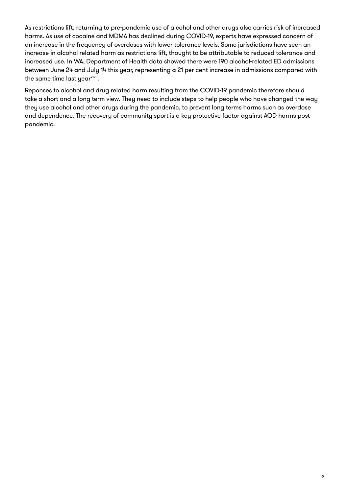As restrictions lift, returning to pre-pandemic use of alcohol and other drugs also carries risk of increased harms. As use of cocaine and MDMA has declined during COVID-19, experts have expressed concern of an increase in the frequency of overdoses with lower tolerance levels. Some jurisdictions have seen an increase in alcohol related harm as restrictions lift, thought to be attributable to reduced tolerance and increased use. In WA, Department of Health data showed there were 190 alcohol-related ED admissions between June 24 and July 14 this year, representing a 21 per cent increase in admissions compared with the same time last year<sup>xxxii</sup>.

Reponses to alcohol and drug related harm resulting from the COVID-19 pandemic therefore should take a short and a long term view. They need to include steps to help people who have changed the way they use alcohol and other drugs during the pandemic, to prevent long terms harms such as overdose and dependence. The recovery of community sport is a key protective factor against AOD harms post pandemic.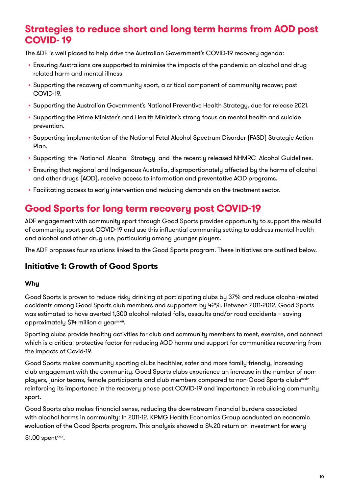## <span id="page-9-0"></span>**Strategies to reduce short and long term harms from AOD post COVID- 19**

The ADF is well placed to help drive the Australian Government's COVID-19 recovery agenda:

- Ensuring Australians are supported to minimise the impacts of the pandemic on alcohol and drug related harm and mental illness
- Supporting the recovery of community sport, a critical component of community recover, post COVID-19.
- Supporting the Australian Government's National Preventive Health Strategy, due for release 2021.
- Supporting the Prime Minister's and Health Minister's strong focus on mental health and suicide prevention.
- Supporting implementation of the National Fetal Alcohol Spectrum Disorder (FASD) Strategic Action Plan.
- Supporting the National Alcohol Strategy and the recently released NHMRC Alcohol Guidelines.
- Ensuring that regional and Indigenous Australia, disproportionately affected by the harms of alcohol and other drugs (AOD), receive access to information and preventative AOD programs.
- Facilitating access to early intervention and reducing demands on the treatment sector.

## **Good Sports for long term recovery post COVID-19**

ADF engagement with community sport through Good Sports provides opportunity to support the rebuild of community sport post COVID-19 and use this influential community setting to address mental health and alcohol and other drug use, particularly among younger players.

The ADF proposes four solutions linked to the Good Sports program. These initiatives are outlined below.

#### **Initiative 1: Growth of Good Sports**

#### **Why**

Good Sports is proven to reduce risky drinking at participating clubs by 37% and reduce alcohol-related accidents among Good Sports club members and supporters by 42%. Between 2011-2012, Good Sports was estimated to have averted 1,300 alcohol-related falls, assaults and/or road accidents – saving approximately \$14 million a year<sup>xxxiii</sup>.

Sporting clubs provide healthy activities for club and community members to meet, exercise, and connect which is a critical protective factor for reducing AOD harms and support for communities recovering from the impacts of Covid-19.

Good Sports makes community sporting clubs healthier, safer and more family friendly, increasing club engagement with the community. Good Sports clubs experience an increase in the number of nonplayers, junior teams, female participants and club members compared to non-Good Sports clubsxxxiv reinforcing its importance in the recovery phase post COVID-19 and importance in rebuilding community sport.

Good Sports also makes financial sense, reducing the downstream financial burdens associated with alcohol harms in community: In 2011-12, KPMG Health Economics Group conducted an economic evaluation of the Good Sports program. This analysis showed a \$4.20 return on investment for every

\$1.00 spent<sup>xxxv</sup>.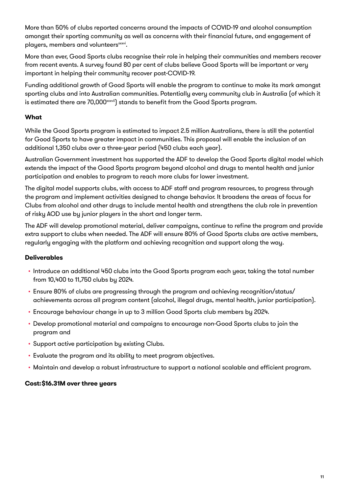More than 50% of clubs reported concerns around the impacts of COVID-19 and alcohol consumption amongst their sporting community as well as concerns with their financial future, and engagement of players, members and volunteers<sup>xxxvi</sup>.

More than ever, Good Sports clubs recognise their role in helping their communities and members recover from recent events. A survey found 80 per cent of clubs believe Good Sports will be important or very important in helping their community recover post-COVID-19.

Funding additional growth of Good Sports will enable the program to continue to make its mark amongst sporting clubs and into Australian communities. Potentially every community club in Australia (of which it is estimated there are 70,000 x ii) stands to benefit from the Good Sports program.

#### **What**

While the Good Sports program is estimated to impact 2.5 million Australians, there is still the potential for Good Sports to have greater impact in communities. This proposal will enable the inclusion of an additional 1,350 clubs over a three-year period (450 clubs each year).

Australian Government investment has supported the ADF to develop the Good Sports digital model which extends the impact of the Good Sports program beyond alcohol and drugs to mental health and junior participation and enables to program to reach more clubs for lower investment.

The digital model supports clubs, with access to ADF staff and program resources, to progress through the program and implement activities designed to change behavior. It broadens the areas of focus for Clubs from alcohol and other drugs to include mental health and strengthens the club role in prevention of risky AOD use by junior players in the short and longer term.

The ADF will develop promotional material, deliver campaigns, continue to refine the program and provide extra support to clubs when needed. The ADF will ensure 80% of Good Sports clubs are active members, regularly engaging with the platform and achieving recognition and support along the way.

#### **Deliverables**

- Introduce an additional 450 clubs into the Good Sports program each year, taking the total number from 10,400 to 11,750 clubs by 2024.
- Ensure 80% of clubs are progressing through the program and achieving recognition/status/ achievements across all program content (alcohol, illegal drugs, mental health, junior participation).
- Encourage behaviour change in up to 3 million Good Sports club members by 2024.
- Develop promotional material and campaigns to encourage non-Good Sports clubs to join the program and
- Support active participation by existing Clubs.
- Evaluate the program and its ability to meet program objectives.
- Maintain and develop a robust infrastructure to support a national scalable and efficient program.

#### **Cost: \$16.31M over three years**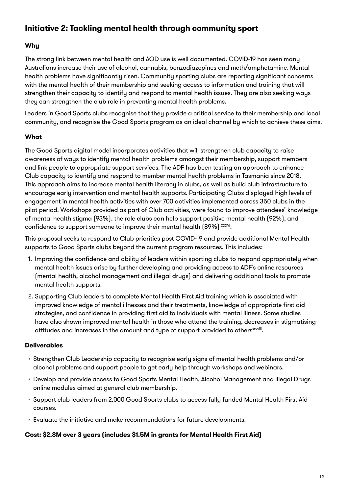## <span id="page-11-0"></span>**Initiative 2: Tackling mental health through community sport**

#### **Why**

The strong link between mental health and AOD use is well documented. COVID-19 has seen many Australians increase their use of alcohol, cannabis, benzodiazepines and meth/amphetamine. Mental health problems have significantly risen. Community sporting clubs are reporting significant concerns with the mental health of their membership and seeking access to information and training that will strengthen their capacity to identify and respond to mental health issues. They are also seeking ways they can strengthen the club role in preventing mental health problems.

Leaders in Good Sports clubs recognise that they provide a critical service to their membership and local community, and recognise the Good Sports program as an ideal channel by which to achieve these aims.

#### **What**

The Good Sports digital model incorporates activities that will strengthen club capacity to raise awareness of ways to identify mental health problems amongst their membership, support members and link people to appropriate support services. The ADF has been testing an approach to enhance Club capacity to identify and respond to member mental health problems in Tasmania since 2018. This approach aims to increase mental health literacy in clubs, as well as build club infrastructure to encourage early intervention and mental health supports. Participating Clubs displayed high levels of engagement in mental health activities with over 700 activities implemented across 350 clubs in the pilot period. Workshops provided as part of Club activities, were found to improve attendees' knowledge of mental health stigma (93%), the role clubs can help support positive mental health (92%), and confidence to support someone to improve their mental health (89%) XXXVi.

This proposal seeks to respond to Club priorities post COVID-19 and provide additional Mental Health supports to Good Sports clubs beyond the current program resources. This includes:

- 1. Improving the confidence and ability of leaders within sporting clubs to respond appropriately when mental health issues arise by further developing and providing access to ADF's online resources (mental health, alcohol management and illegal drugs) and delivering additional tools to promote mental health supports.
- 2. Supporting Club leaders to complete Mental Health First Aid training which is associated with improved knowledge of mental illnesses and their treatments, knowledge of appropriate first aid strategies, and confidence in providing first aid to individuals with mental illness. Some studies have also shown improved mental health in those who attend the training, decreases in stigmatising attitudes and increases in the amount and type of support provided to others<sup>xxxviii</sup>.

#### **Deliverables**

- Strengthen Club Leadership capacity to recognise early signs of mental health problems and/or alcohol problems and support people to get early help through workshops and webinars.
- Develop and provide access to Good Sports Mental Health, Alcohol Management and Illegal Drugs online modules aimed at general club membership.
- Support club leaders from 2,000 Good Sports clubs to access fully funded Mental Health First Aid courses.
- Evaluate the initiative and make recommendations for future developments.

#### **Cost: \$2.8M over 3 years (includes \$1.5M in grants for Mental Health First Aid)**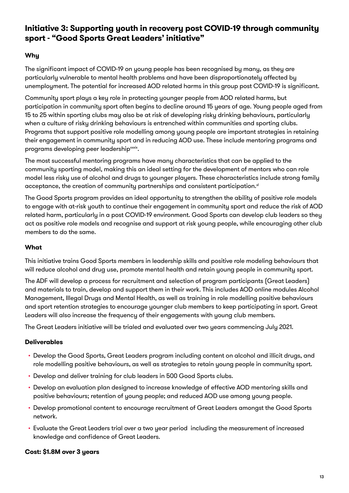#### <span id="page-12-0"></span>**Initiative 3: Supporting youth in recovery post COVID-19 through community sport - "Good Sports Great Leaders' initiative"**

#### **Why**

The significant impact of COVID-19 on young people has been recognised by many, as they are particularly vulnerable to mental health problems and have been disproportionately affected by unemployment. The potential for increased AOD related harms in this group post COVID-19 is significant.

Community sport plays a key role in protecting younger people from AOD related harms, but participation in community sport often begins to decline around 15 years of age. Young people aged from 15 to 25 within sporting clubs may also be at risk of developing risky drinking behaviours, particularly when a culture of risky drinking behaviours is entrenched within communities and sporting clubs. Programs that support positive role modelling among young people are important strategies in retaining their engagement in community sport and in reducing AOD use. These include mentoring programs and programs developing peer leadershipxxxix.

The most successful mentoring programs have many characteristics that can be applied to the community sporting model, making this an ideal setting for the development of mentors who can role model less risky use of alcohol and drugs to younger players. These characteristics include strong family acceptance, the creation of community partnerships and consistent participation.<sup>xl</sup>

The Good Sports program provides an ideal opportunity to strengthen the ability of positive role models to engage with at-risk youth to continue their engagement in community sport and reduce the risk of AOD related harm, particularly in a post COVID-19 environment. Good Sports can develop club leaders so they act as positive role models and recognise and support at risk young people, while encouraging other club members to do the same.

#### **What**

This initiative trains Good Sports members in leadership skills and positive role modeling behaviours that will reduce alcohol and drug use, promote mental health and retain young people in community sport.

The ADF will develop a process for recruitment and selection of program participants (Great Leaders) and materials to train, develop and support them in their work. This includes AOD online modules Alcohol Management, Illegal Drugs and Mental Health, as well as training in role modelling positive behaviours and sport retention strategies to encourage younger club members to keep participating in sport. Great Leaders will also increase the frequency of their engagements with young club members.

The Great Leaders initiative will be trialed and evaluated over two years commencing July 2021.

#### **Deliverables**

- Develop the Good Sports, Great Leaders program including content on alcohol and illicit drugs, and role modelling positive behaviours, as well as strategies to retain young people in community sport.
- Develop and deliver training for club leaders in 500 Good Sports clubs.
- Develop an evaluation plan designed to increase knowledge of effective AOD mentoring skills and positive behaviours; retention of young people; and reduced AOD use among young people.
- Develop promotional content to encourage recruitment of Great Leaders amongst the Good Sports network.
- Evaluate the Great Leaders trial over a two year period including the measurement of increased knowledge and confidence of Great Leaders.

#### **Cost: \$1.8M over 3 years**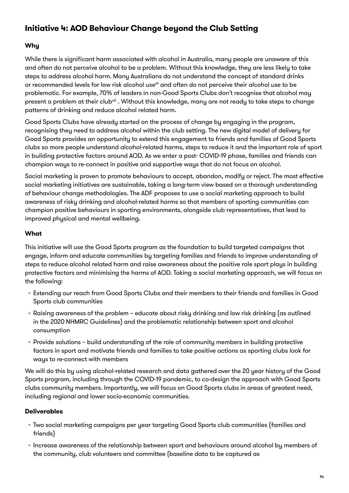## <span id="page-13-0"></span>**Initiative 4: AOD Behaviour Change beyond the Club Setting**

#### **Why**

While there is significant harm associated with alcohol in Australia, many people are unaware of this and often do not perceive alcohol to be a problem. Without this knowledge, they are less likely to take steps to address alcohol harm. Many Australians do not understand the concept of standard drinks or recommended levels for low risk alcohol usexli and often do not perceive their alcohol use to be problematic. For example, 70% of leaders in non-Good Sports Clubs don't recognise that alcohol may present a problem at their club<sup>xlii</sup>. Without this knowledge, many are not ready to take steps to change patterns of drinking and reduce alcohol related harm.

Good Sports Clubs have already started on the process of change by engaging in the program, recognising they need to address alcohol within the club setting. The new digital model of delivery for Good Sports provides an opportunity to extend this engagement to friends and families of Good Sports clubs so more people understand alcohol-related harms, steps to reduce it and the important role of sport in building protective factors around AOD. As we enter a post- COVID-19 phase, families and friends can champion ways to re-connect in positive and supportive ways that do not focus on alcohol.

Social marketing is proven to promote behaviours to accept, abandon, modify or reject. The most effective social marketing initiatives are sustainable, taking a long-term view based on a thorough understanding of behaviour change methodologies. The ADF proposes to use a social marketing approach to build awareness of risky drinking and alcohol-related harms so that members of sporting communities can champion positive behaviours in sporting environments, alongside club representatives, that lead to improved physical and mental wellbeing.

#### **What**

This initiative will use the Good Sports program as the foundation to build targeted campaigns that engage, inform and educate communities by targeting families and friends to improve understanding of steps to reduce alcohol related harm and raise awareness about the positive role sport plays in building protective factors and minimising the harms of AOD. Taking a social marketing approach, we will focus on the following:

- Extending our reach from Good Sports Clubs and their members to their friends and families in Good Sports club communities
- Raising awareness of the problem educate about risky drinking and low risk drinking (as outlined in the 2020 NHMRC Guidelines) and the problematic relationship between sport and alcohol consumption
- Provide solutions build understanding of the role of community members in building protective factors in sport and motivate friends and families to take positive actions as sporting clubs look for ways to re-connect with members

We will do this by using alcohol-related research and data gathered over the 20 year history of the Good Sports program, including through the COVID-19 pandemic, to co-design the approach with Good Sports clubs community members. Importantly, we will focus on Good Sports clubs in areas of greatest need, including regional and lower socio-economic communities.

#### **Deliverables**

- Two social marketing campaigns per year targeting Good Sports club communities (families and friends)
- Increase awareness of the relationship between sport and behaviours around alcohol by members of the community, club volunteers and committee (baseline data to be captured as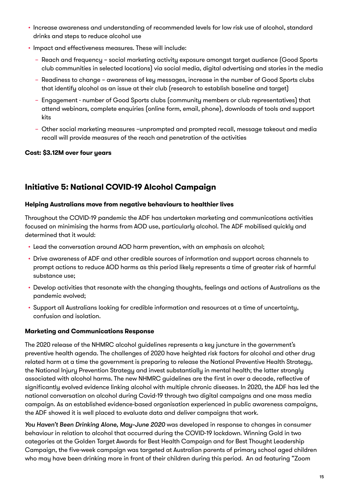- <span id="page-14-0"></span>• Increase awareness and understanding of recommended levels for low risk use of alcohol, standard drinks and steps to reduce alcohol use
- Impact and effectiveness measures. These will include:
	- − Reach and frequency social marketing activity exposure amongst target audience (Good Sports club communities in selected locations) via social media, digital advertising and stories in the media
	- − Readiness to change awareness of key messages, increase in the number of Good Sports clubs that identify alcohol as an issue at their club (research to establish baseline and target)
	- − Engagement number of Good Sports clubs (community members or club representatives) that attend webinars, complete enquiries (online form, email, phone), downloads of tools and support kits
	- − Other social marketing measures –unprompted and prompted recall, message takeout and media recall will provide measures of the reach and penetration of the activities

#### **Cost: \$3.12M over four years**

### **Initiative 5: National COVID-19 Alcohol Campaign**

#### **Helping Australians move from negative behaviours to healthier lives**

Throughout the COVID-19 pandemic the ADF has undertaken marketing and communications activities focused on minimising the harms from AOD use, particularly alcohol. The ADF mobilised quickly and determined that it would:

- Lead the conversation around AOD harm prevention, with an emphasis on alcohol;
- Drive awareness of ADF and other credible sources of information and support across channels to prompt actions to reduce AOD harms as this period likely represents a time of greater risk of harmful substance use;
- Develop activities that resonate with the changing thoughts, feelings and actions of Australians as the pandemic evolved;
- Support all Australians looking for credible information and resources at a time of uncertainty, confusion and isolation.

#### **Marketing and Communications Response**

The 2020 release of the NHMRC alcohol guidelines represents a key juncture in the government's preventive health agenda. The challenges of 2020 have heighted risk factors for alcohol and other drug related harm at a time the government is preparing to release the National Preventive Health Strategy, the National Injury Prevention Strategy and invest substantially in mental health; the latter strongly associated with alcohol harms. The new NHMRC guidelines are the first in over a decade, reflective of significantly evolved evidence linking alcohol with multiple chronic diseases. In 2020, the ADF has led the national conversation on alcohol during Covid-19 through two digital campaigns and one mass media campaign. As an established evidence-based organisation experienced in public awareness campaigns, the ADF showed it is well placed to evaluate data and deliver campaigns that work.

*You Haven't Been Drinking Alone, May-June 2020* was developed in response to changes in consumer behaviour in relation to alcohol that occurred during the COVID-19 lockdown. Winning Gold in two categories at the Golden Target Awards for Best Health Campaign and for Best Thought Leadership Campaign, the five-week campaign was targeted at Australian parents of primary school aged children who may have been drinking more in front of their children during this period. An ad featuring "Zoom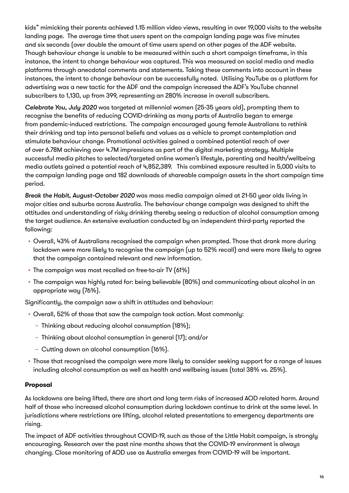kids" mimicking their parents achieved 1.15 million video views, resulting in over 19,000 visits to the website landing page. The average time that users spent on the campaign landing page was five minutes and six seconds (over double the amount of time users spend on other pages of the ADF website. Though behaviour change is unable to be measured within such a short campaign timeframe, in this instance, the intent to change behaviour was captured. This was measured on social media and media platforms through anecdotal comments and statements. Taking these comments into account in these instances, the intent to change behaviour can be successfully noted. Utilising YouTube as a platform for advertising was a new tactic for the ADF and the campaign increased the ADF's YouTube channel subscribers to 1,130, up from 399, representing an 280% increase in overall subscribers.

*Celebrate You, July 2020* was targeted at millennial women (25-35 years old), prompting them to recognise the benefits of reducing COVID-drinking as many parts of Australia began to emerge from pandemic-induced restrictions. The campaign encouraged young female Australians to rethink their drinking and tap into personal beliefs and values as a vehicle to prompt contemplation and stimulate behaviour change. Promotional activities gained a combined potential reach of over of over 6.78M achieving over 4.7M impressions as part of the digital marketing strategy. Multiple successful media pitches to selected/targeted online women's lifestyle, parenting and health/wellbeing media outlets gained a potential reach of 4,852,389. This combined exposure resulted in 5,000 visits to the campaign landing page and 182 downloads of shareable campaign assets in the short campaign time period.

*Break the Habit, August-October 2020* was mass media campaign aimed at 21-50 year olds living in major cities and suburbs across Australia. The behaviour change campaign was designed to shift the attitudes and understanding of risky drinking thereby seeing a reduction of alcohol consumption among the target audience. An extensive evaluation conducted by an independent third-party reported the following:

- Overall, 43% of Australians recognised the campaign when prompted. Those that drank more during lockdown were more likely to recognise the campaign (up to 52% recall) and were more likely to agree that the campaign contained relevant and new information.
- The campaign was most recalled on free-to-air TV (61%)
- The campaign was highly rated for: being believable (80%) and communicating about alcohol in an appropriate way (76%).

Significantly, the campaign saw a shift in attitudes and behaviour:

- Overall, 52% of those that saw the campaign took action. Most commonly:
	- − Thinking about reducing alcohol consumption (18%);
	- − Thinking about alcohol consumption in general (17); and/or
	- − Cutting down on alcohol consumption (16%).
- Those that recognised the campaign were more likely to consider seeking support for a range of issues including alcohol consumption as well as health and wellbeing issues (total 38% vs. 25%).

#### **Proposal**

As lockdowns are being lifted, there are short and long term risks of increased AOD related harm. Around half of those who increased alcohol consumption during lockdown continue to drink at the same level. In jurisdictions where restrictions are lifting, alcohol related presentations to emergency departments are rising.

The impact of ADF activities throughout COVID-19, such as those of the Little Habit campaign, is strongly encouraging. Research over the past nine months shows that the COVID-19 environment is always changing. Close monitoring of AOD use as Australia emerges from COVID-19 will be important.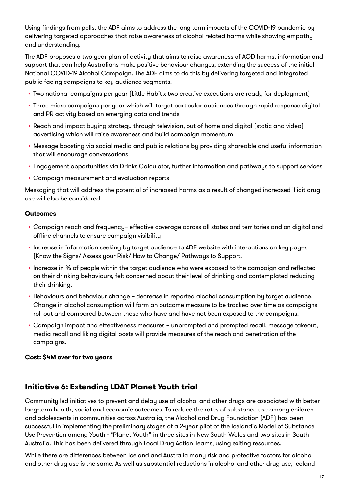<span id="page-16-0"></span>Using findings from polls, the ADF aims to address the long term impacts of the COVID-19 pandemic by delivering targeted approaches that raise awareness of alcohol related harms while showing empathy and understanding.

The ADF proposes a two year plan of activity that aims to raise awareness of AOD harms, information and support that can help Australians make positive behaviour changes, extending the success of the initial National COVID-19 Alcohol Campaign. The ADF aims to do this by delivering targeted and integrated public facing campaigns to key audience segments.

- Two national campaigns per year (Little Habit x two creative executions are ready for deployment)
- Three micro campaigns per year which will target particular audiences through rapid response digital and PR activity based on emerging data and trends
- Reach and impact buying strategy through television, out of home and digital (static and video) advertising which will raise awareness and build campaign momentum
- Message boosting via social media and public relations by providing shareable and useful information that will encourage conversations
- Engagement opportunities via Drinks Calculator, further information and pathways to support services
- Campaign measurement and evaluation reports

Messaging that will address the potential of increased harms as a result of changed increased illicit drug use will also be considered.

#### **Outcomes**

- Campaign reach and frequency– effective coverage across all states and territories and on digital and offline channels to ensure campaign visibility
- Increase in information seeking by target audience to ADF website with interactions on key pages (Know the Signs/ Assess your Risk/ How to Change/ Pathways to Support.
- Increase in % of people within the target audience who were exposed to the campaign and reflected on their drinking behaviours, felt concerned about their level of drinking and contemplated reducing their drinking.
- Behaviours and behaviour change decrease in reported alcohol consumption by target audience. Change in alcohol consumption will form an outcome measure to be tracked over time as campaigns roll out and compared between those who have and have not been exposed to the campaigns.
- Campaign impact and effectiveness measures unprompted and prompted recall, message takeout, media recall and liking digital posts will provide measures of the reach and penetration of the campaigns.

#### **Cost: \$4M over for two years**

#### **Initiative 6: Extending LDAT Planet Youth trial**

Community led initiatives to prevent and delay use of alcohol and other drugs are associated with better long-term health, social and economic outcomes. To reduce the rates of substance use among children and adolescents in communities across Australia, the Alcohol and Drug Foundation (ADF) has been successful in implementing the preliminary stages of a 2-year pilot of the Icelandic Model of Substance Use Prevention among Youth - "Planet Youth" in three sites in New South Wales and two sites in South Australia. This has been delivered through Local Drug Action Teams, using exiting resources.

While there are differences between Iceland and Australia many risk and protective factors for alcohol and other drug use is the same. As well as substantial reductions in alcohol and other drug use, Iceland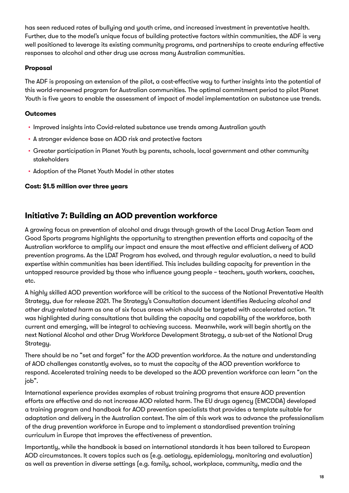<span id="page-17-0"></span>has seen reduced rates of bullying and youth crime, and increased investment in preventative health. Further, due to the model's unique focus of building protective factors within communities, the ADF is very well positioned to leverage its existing community programs, and partnerships to create enduring effective responses to alcohol and other drug use across many Australian communities.

#### **Proposal**

The ADF is proposing an extension of the pilot, a cost-effective way to further insights into the potential of this world-renowned program for Australian communities. The optimal commitment period to pilot Planet Youth is five years to enable the assessment of impact of model implementation on substance use trends.

#### **Outcomes**

- Improved insights into Covid-related substance use trends among Australian youth
- A stronger evidence base on AOD risk and protective factors
- Greater participation in Planet Youth by parents, schools, local government and other community stakeholders
- Adoption of the Planet Youth Model in other states

#### **Cost: \$1.5 million over three years**

#### **Initiative 7: Building an AOD prevention workforce**

A growing focus on prevention of alcohol and drugs through growth of the Local Drug Action Team and Good Sports programs highlights the opportunity to strengthen prevention efforts and capacity of the Australian workforce to amplify our impact and ensure the most effective and efficient delivery of AOD prevention programs. As the LDAT Program has evolved, and through regular evaluation, a need to build expertise within communities has been identified. This includes building capacity for prevention in the untapped resource provided by those who influence young people – teachers, youth workers, coaches, etc.

A highly skilled AOD prevention workforce will be critical to the success of the National Preventative Health Strategy, due for release 2021. The Strategy's Consultation document identifies *Reducing alcohol and other drug-related harm* as one of six focus areas which should be targeted with accelerated action. "It was highlighted during consultations that building the capacity and capability of the workforce, both current and emerging, will be integral to achieving success. Meanwhile, work will begin shortly on the next National Alcohol and other Drug Workforce Development Strategy, a sub-set of the National Drug Strategy.

There should be no "set and forget" for the AOD prevention workforce. As the nature and understanding of AOD challenges constantly evolves, so to must the capacity of the AOD prevention workforce to respond. Accelerated training needs to be developed so the AOD prevention workforce can learn "on the job".

International experience provides examples of robust training programs that ensure AOD prevention efforts are effective and do not increase AOD related harm. The EU drugs agency (EMCDDA) developed a training program and handbook for AOD prevention specialists that provides a template suitable for adaptation and delivery in the Australian context. The aim of this work was to advance the professionalism of the drug prevention workforce in Europe and to implement a standardised prevention training curriculum in Europe that improves the effectiveness of prevention.

Importantly, while the handbook is based on international standards it has been tailored to European AOD circumstances. It covers topics such as (e.g. aetiology, epidemiology, monitoring and evaluation) as well as prevention in diverse settings (e.g. family, school, workplace, community, media and the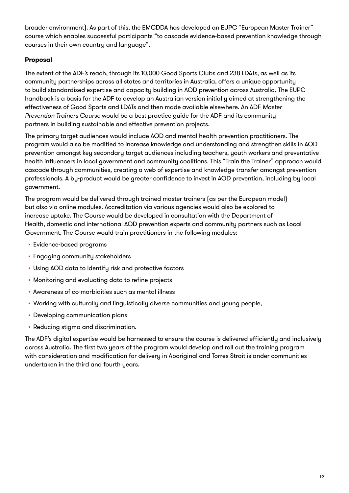broader environment). As part of this, the EMCDDA has developed an EUPC "European Master Trainer" course which enables successful participants "to cascade evidence-based prevention knowledge through courses in their own country and language".

#### **Proposal**

The extent of the ADF's reach, through its 10,000 Good Sports Clubs and 238 LDATs, as well as its community partnerships across all states and territories in Australia, offers a unique opportunity to build standardised expertise and capacity building in AOD prevention across Australia. The EUPC handbook is a basis for the ADF to develop an Australian version initially aimed at strengthening the effectiveness of Good Sports and LDATs and then made available elsewhere. An ADF *Master Prevention Trainers Course* would be a best practice guide for the ADF and its community partners in building sustainable and effective prevention projects.

The primary target audiences would include AOD and mental health prevention practitioners. The program would also be modified to increase knowledge and understanding and strengthen skills in AOD prevention amongst key secondary target audiences including teachers, youth workers and preventative health influencers in local government and community coalitions. This "Train the Trainer" approach would cascade through communities, creating a web of expertise and knowledge transfer amongst prevention professionals. A by-product would be greater confidence to invest in AOD prevention, including by local government.

The program would be delivered through trained master trainers (as per the European model) but also via online modules. Accreditation via various agencies would also be explored to increase uptake. The Course would be developed in consultation with the Department of Health, domestic and international AOD prevention experts and community partners such as Local Government. The Course would train practitioners in the following modules:

- Evidence-based programs
- Engaging community stakeholders
- Using AOD data to identify risk and protective factors
- Monitoring and evaluating data to refine projects
- Awareness of co-morbidities such as mental illness
- Working with culturally and linguistically diverse communities and young people,
- Developing communication plans
- Reducing stigma and discrimination.

The ADF's digital expertise would be harnessed to ensure the course is delivered efficiently and inclusively across Australia. The first two years of the program would develop and roll out the training program with consideration and modification for delivery in Aboriginal and Torres Strait islander communities undertaken in the third and fourth years.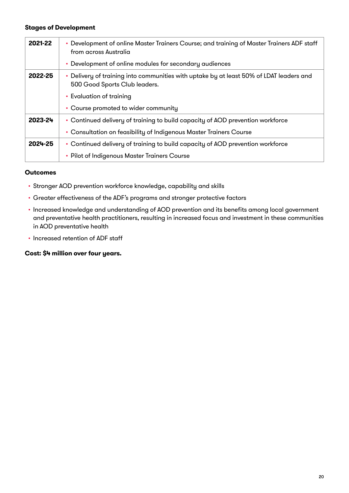#### **Stages of Development**

| 2021-22 | • Development of online Master Trainers Course; and training of Master Trainers ADF staff<br>from across Australia       |
|---------|--------------------------------------------------------------------------------------------------------------------------|
|         | • Development of online modules for secondary audiences                                                                  |
| 2022-25 | • Delivery of training into communities with uptake by at least 50% of LDAT leaders and<br>500 Good Sports Club leaders. |
|         | • Evaluation of training                                                                                                 |
|         | • Course promoted to wider community                                                                                     |
| 2023-24 | • Continued delivery of training to build capacity of AOD prevention workforce                                           |
|         | • Consultation on feasibility of Indigenous Master Trainers Course                                                       |
| 2024-25 | • Continued delivery of training to build capacity of AOD prevention workforce                                           |
|         | • Pilot of Indigenous Master Trainers Course                                                                             |

#### **Outcomes**

- Stronger AOD prevention workforce knowledge, capability and skills
- Greater effectiveness of the ADF's programs and stronger protective factors
- Increased knowledge and understanding of AOD prevention and its benefits among local government and preventative health practitioners, resulting in increased focus and investment in these communities in AOD preventative health
- Increased retention of ADF staff

#### **Cost: \$4 million over four years.**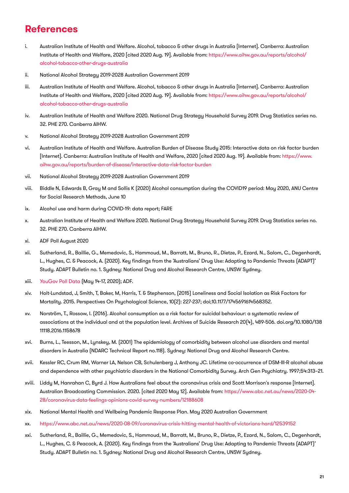## <span id="page-20-0"></span>**References**

- i. Australian Institute of Health and Welfare. Alcohol, tobacco & other drugs in Australia [Internet]. Canberra: Australian Institute of Health and Welfare, 2020 [cited 2020 Aug. 19]. Available from: https:/[/www.aihw.gov.au/reports/alcohol](https://www.aihw.gov.au/reports/alcohol/alcohol-tobacco-other-drugs-australia)/ [alcohol-tobacco-other-d](https://www.aihw.gov.au/reports/alcohol/alcohol-tobacco-other-drugs-australia)rugs-australia
- ii. National Alcohol Strategy 2019-2028 Australian Government 2019
- iii. Australian Institute of Health and Welfare. Alcohol, tobacco & other drugs in Australia [Internet]. Canberra: Australian Institute of Health and Welfare, 2020 [cited 2020 Aug. 19]. Available from: https:/[/www.aihw.gov.au/reports/alcohol/](https://www.aihw.gov.au/reports/alcohol/alcohol-tobacco-other-drugs-australia) [alcohol-tobacco-other-d](https://www.aihw.gov.au/reports/alcohol/alcohol-tobacco-other-drugs-australia)rugs-australia
- iv. Australian Institute of Health and Welfare 2020. National Drug Strategy Household Survey 2019. Drug Statistics series no. 32. PHE 270. Canberra AIHW.
- v. National Alcohol Strategy 2019-2028 Australian Government 2019
- vi. Australian Institute of Health and Welfare. Australian Burden of Disease Study 2015: Interactive data on risk factor burden [Internet]. Canberra: Australian Institute of Health and Welfare, 2020 [cited 2020 Aug. 19]. Available from: https:/[/www.](https://www.aihw.gov.au/reports/burden-of-disease/interactive-data-risk-factor-burden) aihw.gov.au/reports[/burden-of-disease/interactive-data-risk-factor-burden](https://www.aihw.gov.au/reports/burden-of-disease/interactive-data-risk-factor-burden)
- vii. National Alcohol Strategy 2019-2028 Australian Government 2019
- viii. Biddle N, Edwards B, Gray M and Sollis K (2020) Alcohol consumption during the COVID19 period: May 2020, ANU Centre for Social Research Methods, June 10
- ix. Alcohol use and harm during COVID-19: data report; FARE
- x. Australian Institute of Health and Welfare 2020. National Drug Strategy Household Survey 2019. Drug Statistics series no. 32. PHE 270. Canberra AIHW.
- xi. ADF Poll August 2020
- xii. Sutherland, R., Baillie, G., Memedovic, S., Hammoud, M., Barratt, M., Bruno, R., Dietze, P., Ezard, N., Salom, C., Degenhardt, L., Hughes, C. & Peacock, A. (2020). Key findings from the 'Australians' Drug Use: Adapting to Pandemic Threats (ADAPT)' Study. ADAPT Bulletin no. 1. Sydney: National Drug and Alcohol Research Centre, UNSW Sydney.
- xiii. [YouGov Poll Data](https://adf.org.au/drinking-isolation/research-background/) (May 14-17, 2020); ADF.
- xiv. Holt-Lundstad, J, Smith, T, Baker, M, Harris, T. & Stephenson, (2015) Loneliness and Social Isolation as Risk Factors for Mortality. 2015. Perspectives On Psychological Science, 10(2): 227-237; doi;10.1177/1745691614568352.
- xv. Norström, T., Rossow, I. (2016). Alcohol consumption as a risk factor for suicidal behaviour: a systematic review of associations at the individual and at the population level. Archives of Suicide Research 20(4), 489-506. doi.org/10.1080/138 11118.2016.1158678
- xvi. Burns, L., Teesson, M., Lynskey, M. (2001) The epidemiology of comorbidity between alcohol use disorders and mental disorders in Australia (NDARC Technical Report no.118). Sydney: National Drug and Alcohol Research Centre.
- xvii. Kessler RC, Crum RM, Warner LA, Nelson CB, Schulenberg J, Anthony JC. Lifetime co-occurrence of DSM-III-R alcohol abuse and dependence with other psychiatric disorders in the National Comorbidity Survey. Arch Gen Psychiatry. 1997;54:313–21.
- xviii. Liddy M, Hanrahan C, Byrd J. How Australians feel about the coronavirus crisis and Scott Morrison's response [Internet]. Australian Broadcasting Commission. 2020. [cited 2020 May 12]. Available from: https:/[/www.abc.net.au/news/2020-04-](https://www.abc.net.au/news/2020-04- 28/coronavirus-data-feelings-opinions-covid-survey-numbers/12188608) 28/coronavirus-data-feelings-opinions-covid-survey-numbers/12188608
- xix. National Mental Health and Wellbeing Pandemic Response Plan. May 2020 Australian Government
- xx. [https://www.abc.net.au/news/2020-08-09/coronavirus-crisis-](https://www.abc.net.au/news/2020-08-09/coronavirus-crisis-hitting-mental-health-of-victorians-hard/12539152)hitting-mental-health-of-victorians-hard/12539152
- xxi. Sutherland, R., Baillie, G., Memedovic, S., Hammoud, M., Barratt, M., Bruno, R., Dietze, P., Ezard, N., Salom, C., Degenhardt, L., Hughes, C. & Peacock, A. (2020). Key findings from the 'Australians' Drug Use: Adapting to Pandemic Threats (ADAPT)' Study. ADAPT Bulletin no. 1. Sydney: National Drug and Alcohol Research Centre, UNSW Sydney.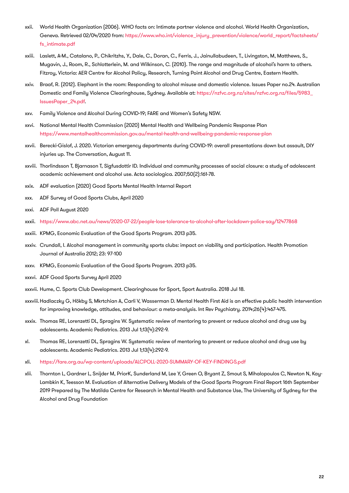- xxii. World Health Organization (2006). WHO facts on: Intimate partner violence and alcohol. World Health Organization, Geneva. Retrieved 02/04/2020 from: https://[www.who.int/violence\\_injury\\_prevention/violence/world\\_report/factsheets/](http://www.who.int/violence_injury_prevention/violence/world_report/factsheets/fs_intimate.pdf) [fs\\_intimate.pdf](http://www.who.int/violence_injury_prevention/violence/world_report/factsheets/fs_intimate.pdf)
- xxiii. Laslett, A-M., Catalano, P., Chikritzhs, Y., Dale, C., Doran, C., Ferris, J., Jainullabudeen, T., Livingston, M, Matthews, S., Mugavin, J., Room, R., Schlotterlein, M. and Wilkinson, C. (2010). The range and magnitude of alcohol's harm to others. Fitzroy, Victoria: AER Centre for Alcohol Policy, Research, Turning Point Alcohol and Drug Centre, Eastern Health.
- xxiv. Braaf, R. (2012). Elephant in the room: Responding to alcohol misuse and domestic violence. Issues Paper no.24. Australian Domestic and Family Violence Clearinghouse, Sydney. Available at: https://nz[fvc.org.nz/sites/nzfvc.org.nz/files/5983\\_](https://nzfvc.org.nz/sites/nzfvc.org.nz/files/5983_IssuesPaper_24.pdf) [IssuesPaper\\_24.pdf.](https://nzfvc.org.nz/sites/nzfvc.org.nz/files/5983_IssuesPaper_24.pdf)
- xxv. [Family Violence and Alcohol During COVID-19;](https://fare.org.au/wp-content/uploads/Family-violence-and-alcohol-during-COVID-19_final.pdf) FARE and Women's Safety NSW.
- xxvi. National Mental Health Commission (2020) Mental Health and Wellbeing Pandemic Response Plan https:/[/www.mentalhealthcommission.gov.au/mental-health-and-wellbeing-pandemic-response-plan](https://www.mentalhealthcommission.gov.au/mental-health-and-wellbeing-pandemic-response-plan)
- xxvii. Berecki-Gislof, J. 2020. Victorian emergency departments during COVID-19: overall presentations down but assault, DIY injuries up. The Conversation, August 11.
- xxviii. Thorlindsson T, Bjarnason T, Sigfusdottir ID. Individual and community processes of social closure: a study of adolescent academic achievement and alcohol use. Acta sociologica. 2007;50(2):161-78.
- xxix. ADF evaluation (2020) Good Sports Mental Health Internal Report
- xxx. ADF Survey of Good Sports Clubs, April 2020
- xxxi. ADF Poll August 2020
- xxxii. [https://www.abc.net.au/news/2020-07-22/people-lose-tolerance-to-alcohol](https://www.abc.net.au/news/2020-07-22/people-lose-tolerance-to-alcohol-after-lockdown-police-say/12477868)-after-lockdown-police-say/12477868
- xxxiii. KPMG, Economic Evaluation of the Good Sports Program. 2013 p35.
- xxxiv. Crundall, I. Alcohol management in community sports clubs: impact on viability and participation. Health Promotion Journal of Australia 2012; 23: 97-100
- xxxv. KPMG, Economic Evaluation of the Good Sports Program. 2013 p35.
- xxxvi. ADF Good Sports Survey April 2020
- xxxvii. Hume, C. Sports Club Development. Clearinghouse for Sport, Sport Australia. 2018 Jul 18.
- xxxviii.Hadlaczky G, Hökby S, Mkrtchian A, Carli V, Wasserman D. Mental Health First Aid is an effective public health intervention for improving knowledge, attitudes, and behaviour: a meta-analysis. Int Rev Psychiatry. 2014;26(4):467-475.
- xxxix. Thomas RE, Lorenzetti DL, Spragins W. Systematic review of mentoring to prevent or reduce alcohol and drug use by adolescents. Academic Pediatrics. 2013 Jul 1;13(4):292-9.
- xl. Thomas RE, Lorenzetti DL, Spragins W. Systematic review of mentoring to prevent or reduce alcohol and drug use by adolescents. Academic Pediatrics. 2013 Jul 1;13(4):292-9.
- xli. <https://fare.org.au/wp-content/uploads/ALCPOLL-2020-SUMMARY-OF-KEY-FINDINGS.pdf>
- xlii. Thornton L, Gardner L, Snijder M, PriorK, Sunderland M, Lee Y, Green O, Bryant Z, Smout S, Mihalopoulos C, Newton N, Kay-Lambkin K, Teesson M. Evaluation of Alternative Delivery Models of the Good Sports Program Final Report 16th September 2019 Prepared by The Matilda Centre for Research in Mental Health and Substance Use, The University of Sydney for the Alcohol and Drug Foundation